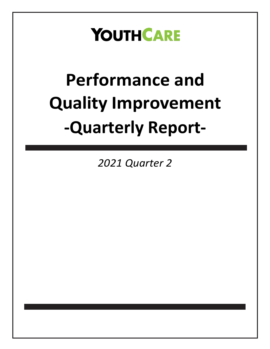## **YOUTHCARE**

# **Performance and Quality Improvement -Quarterly Report-**

*2021 Quarter 2*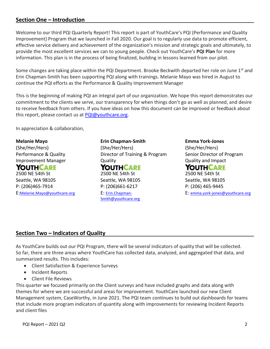## **Section One – Introduction**

Welcome to our third PQI Quarterly Report! This report is part of YouthCare's PQI (Performance and Quality Improvement) Program that we launched in Fall 2020. Our goal is to regularly use data to promote efficient, effective service delivery and achievement of the organization's mission and strategic goals and ultimately, to provide the most excellent services we can to young people. Check out YouthCare's **PQI Plan** for more information. This plan is in the process of being finalized, building in lessons learned from our pilot.

Some changes are taking place within the PQI Department. Brooke Beckwith departed her role on June 1<sup>st</sup> and Erin Chapman-Smith has been supporting PQI along with trainings. Melanie Mayo was hired in August to continue the PQI efforts as the Performance & Quality Improvement Manager

This is the beginning of making PQI an integral part of our organization. We hope this report demonstrates our commitment to the clients we serve, our transparency for when things don't go as well as planned, and desire to receive feedback from others. If you have ideas on how this document can be improved or feedback about this report, please contact us at [PQI@youthcare.org.](mailto:PQI@youthcare.org)

In appreciation & collaboration,

#### **Melanie Mayo**

(She/Her/Hers) Performance & Quality Improvement Manager

## YOUTHCARE

2500 NE 54th St Seattle, WA 98105 P: (206)465-7914 E:[Melanie.Mayo@youthcare.org](mailto:Melanie.Mayo@youthcare.org) **Erin Chapman-Smith** (She/Her/Hers) Director of Training & Program **Quality** YOUTHCARE 2500 NE 54th St Seattle, WA 98105 P: (206)661-6217 E: [Erin.Chapman-](mailto:Erin.Chapman-Smith@youthcare.org)[Smith@youthcare.org](mailto:Erin.Chapman-Smith@youthcare.org)

**Emma York-Jones**

(She/Her/Hers) Senior Director of Program Quality and Impact

#### **YOUTHCARE** 2500 NE 54th St

Seattle, WA 98105 P: (206) 465-9445 E: [emma.york-jones@youthcare.org](file:///C:/Users/emma.york-Jones/AppData/Local/Microsoft/Windows/INetCache/Content.Outlook/S6AC1LL6/emma.york-jones@youthcare.org)

## **Section Two – Indicators of Quality**

As YouthCare builds out our PQI Program, there will be several indicators of quality that will be collected. So far, there are three areas where YouthCare has collected data, analyzed, and aggregated that data, and summarized results. This includes:

- Client Satisfaction & Experience Surveys
- Incident Reports
- Client File Reviews

This quarter we focused primarily on the Client surveys and have included graphs and data along with themes for where we are successful and areas for improvement. YouthCare launched our new Client Management system, CaseWorthy, in June 2021. The PQI team continues to build out dashboards for teams that include more program indicators of quantity along with improvements for reviewing Incident Reports and client files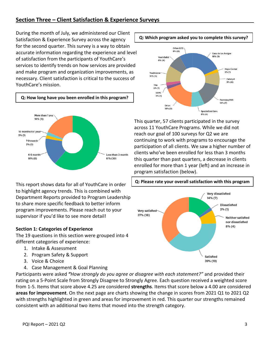During the month of July, we administered our Client Satisfaction & Experience Survey across the agency for the second quarter. This survey is a way to obtain accurate information regarding the experience and level of satisfaction from the participants of YouthCare's services to identify trends on how services are provided and make program and organization improvements, as necessary. Client satisfaction is critical to the success of YouthCare's mission.



This report shows data for all of YouthCare in order to highlight agency trends. This is combined with Department Reports provided to Program Leadership to share more specific feedback to better inform program improvements. Please reach out to your supervisor if you'd like to see more detail!

## **Section 1: Categories of Experience**

The 19 questions in this section were grouped into 4 different categories of experience:

- 1. Intake & Assessment
- 2. Program Safety & Support
- 3. Voice & Choice
- 4. Case Management & Goal Planning

Participants were asked *"How strongly do you agree or disagree with each statement?"* and provided their rating on a 5-Point Scale from Strongly Disagree to Strongly Agree. Each question received a weighted score from 1-5. Items that score above 4.25 are considered **strengths**. Items that score below a 4.00 are considered **areas for improvement**. On the next page are charts showing the change in scores from 2021 Q1 to 2021 Q2 with strengths highlighted in green and areas for improvement in red. This quarter our strengths remained consistent with an additional two items that moved into the strength category.



This quarter, 57 clients participated in the survey across 11 YouthCare Programs. While we did not reach our goal of 100 surveys for Q2 we are continuing to work with programs to encourage the participation of all clients. We saw a higher number of clients who've been enrolled for less than 3 months this quarter than past quarters, a decrease in clients enrolled for more than 1 year (left) and an increase in program satisfaction (below).

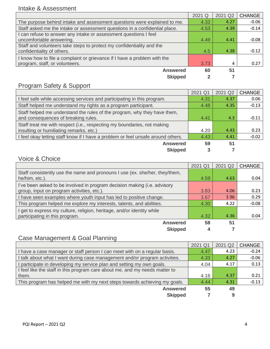## Intake & Assessment

|                                                                            | 2021 Q | 2021 Q2 | <b>CHANGE</b> |
|----------------------------------------------------------------------------|--------|---------|---------------|
| The purpose behind intake and assessment questions were explained to me.   | 4.33   | 4.27    | $-0.06$       |
| Staff asked me the intake or assessment questions in a confidential place. | 4.53   | 4.39    | $-0.14$       |
| I can refuse to answer any intake or assessment questions I feel           |        |         |               |
| uncomfortable answering.                                                   | 4.49   | 4.41    | $-0.08$       |
| Staff and volunteers take steps to protect my confidentiality and the      |        |         |               |
| confidentiality of others.                                                 | 4.5    | 4.38    | $-0.12$       |
| I know how to file a complaint or grievance if I have a problem with the   |        |         |               |
| program, staff, or volunteers.                                             | 3.73   | 4       | 0.27          |
| <b>Answered</b>                                                            | 60     | 51      |               |
| <b>Skipped</b>                                                             |        |         |               |

## Program Safety & Support

|                                                                                  | 2021 Q1 | 2021 Q2 | <b>CHANGE</b> |
|----------------------------------------------------------------------------------|---------|---------|---------------|
| I feel safe while accessing services and participating in this program.          | 4.31    | 4.37    | 0.06          |
| Staff helped me understand my rights as a program participant.                   | 4.48    | 4.35    | $-0.13$       |
| Staff helped me understand the rules of the program, why they have them,         |         |         |               |
| and consequences of breaking rules.                                              | 4.41    | 4.3     | $-0.11$       |
| Staff treat me with respect (i.e., respecting my boundaries, not making          |         |         |               |
| insulting or humiliating remarks, etc.)                                          | 4.20    | 4.43    | 0.23          |
| I feel okay letting staff know if I have a problem or feel unsafe around others. | 4.43    | 4.41    | $-0.02$       |
| <b>Answered</b>                                                                  | 59      | 51      |               |
| <b>Skipped</b>                                                                   | 3       |         |               |

## Voice & Choice

|                                                                                                                        | 2021 Q1 | 2021 Q2 | <b>CHANGE</b> |
|------------------------------------------------------------------------------------------------------------------------|---------|---------|---------------|
| Staff consistently use the name and pronouns I use (ex. she/her, they/them,<br>he/him, etc.).                          | 4.59    | 4.63    | 0.04          |
| I've been asked to be involved in program decision making (i.e. advisory<br>group, input on program activities, etc.). | 3.83    | 4.06    | 0.23          |
| I have seen examples where youth input has led to positive change.                                                     | 3.67    | 3.96    | 0.29          |
| This program helped me explore my interests, talents, and abilities.                                                   | 4.30    | 4.22    | $-0.08$       |
| I get to express my culture, religion, heritage, and/or identity while<br>participating in this program.               | 4.32    | 4.36    | 0.04          |
| <b>Answered</b>                                                                                                        | 58      | 51      |               |
| <b>Skipped</b>                                                                                                         | 4       |         |               |

## Case Management & Goal Planning

|                                                                             | 2021 Q1 | 2021 Q2 | <b>CHANGE</b> |
|-----------------------------------------------------------------------------|---------|---------|---------------|
| I have a case manager or staff person I can meet with on a regular basis.   | 4.47    | 4.23    | $-0.24$       |
| I talk about what I want during case management and/or program activities.  |         | 4.27    | $-0.06$       |
| I participate in developing my service plan and setting my own goals.       | 4.04    | 4.17    | 0.13          |
| I feel like the staff in this program care about me, and my needs matter to |         |         |               |
| them.                                                                       | 4.16    | 4.37    | 0.21          |
| This program has helped me with my next steps towards achieving my goals.   | 4.44    | 4.31    | $-0.13$       |
| <b>Answered</b>                                                             | 55      | 49      |               |
| <b>Skipped</b>                                                              |         | 9       |               |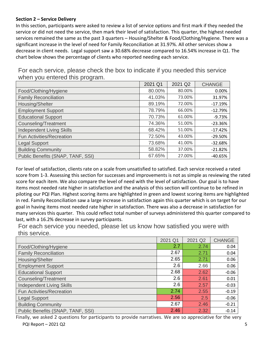## **Section 2 – Service Delivery**

In this section, participants were asked to review a list of service options and first mark if they needed the service or did not need the service, then mark their level of satisfaction. This quarter, the highest needed services remained the same as the past 3 quarters – Housing/Shelter & Food/Clothing/Hygiene. There was a significant increase in the level of need for Family Reconciliation at 31.97%. All other services show a decrease in client needs. Legal support saw a 30.68% decrease compared to 16.54% increase in Q1. The chart below shows the percentage of clients who reported needing each service.

For each service, please check the box to indicate if you needed this service when you entered this program.

|                                   | 2021 Q1 | 2021 Q2 | <b>CHANGE</b> |
|-----------------------------------|---------|---------|---------------|
| Food/Clothing/Hygiene             | 80.00%  | 80.00%  | 0.00%         |
| <b>Family Reconciliation</b>      | 41.03%  | 73.00%  | 31.97%        |
| Housing/Shelter                   | 89.19%  | 72.00%  | $-17.19%$     |
| <b>Employment Support</b>         | 78.79%  | 66.00%  | $-12.79%$     |
| <b>Educational Support</b>        | 70.73%  | 61.00%  | $-9.73%$      |
| Counseling/Treatment              | 74.36%  | 51.00%  | $-23.36%$     |
| <b>Independent Living Skills</b>  | 68.42%  | 51.00%  | $-17.42%$     |
| Fun Activities/Recreation         | 72.50%  | 43.00%  | $-29.50%$     |
| Legal Support                     | 73.68%  | 41.00%  | $-32.68%$     |
| <b>Building Community</b>         | 58.82%  | 37.00%  | $-21.82%$     |
| Public Benefits (SNAP, TANF, SSI) | 67.65%  | 27.00%  | $-40.65%$     |

For level of satisfaction, clients rate on a scale from unsatisfied to satisfied. Each service received a rated score from 1-3. Assessing this section for successes and improvements is not as simple as reviewing the rated score for each item. We also compare the level of need with the level of satisfaction. Our goal is to have items most needed rate higher in satisfaction and the analysis of this section will continue to be refined in piloting our PQI Plan. Highest scoring items are highlighted in green and lowest scoring items are highlighted in red. Family Reconciliation saw a large increase in satisfaction again this quarter which is on target for our goal in having items most needed rate higher in satisfaction. There was also a decrease in satisfaction for many services this quarter. This could reflect total number of surveys administered this quarter compared to last, with a 16.2% decrease in survey participants.

For each service you needed, please let us know how satisfied you were with this service.

|                                   | 2021 Q1 | 2021 Q2 | <b>CHANGE</b> |
|-----------------------------------|---------|---------|---------------|
| Food/Clothing/Hygiene             | 2.7     | 2.74    | 0.04          |
| <b>Family Reconciliation</b>      | 2.67    | 2.71    | 0.04          |
| Housing/Shelter                   | 2.65    | 2.71    | 0.06          |
| <b>Employment Support</b>         | 2.6     | 2.66    | 0.06          |
| <b>Educational Support</b>        | 2.68    | 2.62    | $-0.06$       |
| Counseling/Treatment              | 2.6     | 2.61    | 0.01          |
| <b>Independent Living Skills</b>  | 2.6     | 2.57    | $-0.03$       |
| Fun Activities/Recreation         | 2.74    | 2.55    | $-0.19$       |
| <b>Legal Support</b>              | 2.56    | 2.5     | $-0.06$       |
| <b>Building Community</b>         | 2.67    | 2.46    | $-0.21$       |
| Public Benefits (SNAP, TANF, SSI) | 2.46    | 2.32    | $-0.14$       |

PQI Report – 2021 Q2 5 Finally, we asked 2 questions for participants to provide narratives. We are so appreciative for the very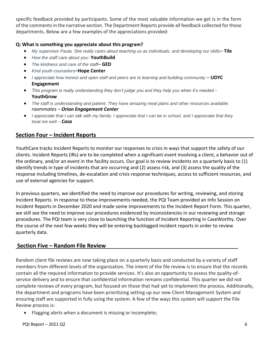specific feedback provided by participants. Some of the most valuable information we get is in the form of the comments in the narrative section. The Department Reports provide all feedback collected for those departments. Below are a few examples of the appreciations provided:

## **Q: What is something you appreciate about this program?**

- *My supervisor Paula. She really cares about teaching us as individuals, and developing our skills–* **Tile**
- *How the staff care about you-* **YouthBuild**
- *The kindness and care of the staff–* **GED**
- *Kind youth counselors–***Hope Center**
- *I appreciate how honest and open staff and peers are to learning and building community* **UDYC Engagement**
- *This program is really understanding they don't judge you and they help you when it's needed -* **YouthGrow**
- *The staff is understanding and patient. They have amazing meal plans and other resources available. roommates – Orion Engagement Center*
- *I appreciate that I can talk with my family. I appreciate that I can be in school, and I appreciate that they treat me well* – *Casa*

## **Section Four – Incident Reports**

YouthCare tracks Incident Reports to monitor our responses to crisis in ways that support the safety of our clients. Incident Reports (IRs) are to be completed when a significant event involving a client, a behavior out of the ordinary, and/or an event in the facility occurs. Our goal is to review Incidents on a quarterly basis to (1) identify trends in type of incidents that are occurring and (2) assess risk, and (3) assess the quality of the response including timelines, de-escalation and crisis response techniques, access to sufficient resources, and use of external agencies for support.

In previous quarters, we identified the need to improve our procedures for writing, reviewing, and storing Incident Reports. In response to these improvements needed, the PQI Team provided an Info Session on Incident Reports in December 2020 and made some improvements to the Incident Report Form. This quarter, we still see the need to improve our procedures evidenced by inconsistencies in our reviewing and storage procedures. The PQI team is very close to launching the function of Incident Reporting in CaseWorthy. Over the course of the next few weeks they will be entering backlogged incident reports in order to review quarterly data.

## **Section Five – Random File Review**

Random client file reviews are now taking place on a quarterly basis and conducted by a variety of staff members from different levels of the organization. The intent of the file review is to ensure that the records contain all the required information to provide services. It's also an opportunity to assess the quality-ofservice delivery and to ensure that confidential information remains confidential. This quarter we did not complete reviews of every program, but focused on those that had yet to implement the process. Additionally, the department and programs have been prioritizing setting up our new Client Management System and ensuring staff are supported in fully using the system. A few of the ways this system will support the File Review process is:

• Flagging alerts when a document is missing or incomplete;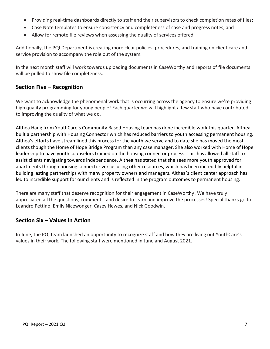- Providing real-time dashboards directly to staff and their supervisors to check completion rates of files;
- Case Note templates to ensure consistency and completeness of case and progress notes; and
- Allow for remote file reviews when assessing the quality of services offered.

Additionally, the PQI Department is creating more clear policies, procedures, and training on client care and service provision to accompany the role out of the system.

In the next month staff will work towards uploading documents in CaseWorthy and reports of file documents will be pulled to show file completeness.

## **Section Five – Recognition**

We want to acknowledge the phenomenal work that is occurring across the agency to ensure we're providing high quality programming for young people! Each quarter we will highlight a few staff who have contributed to improving the quality of what we do.

Althea Haug from YouthCare's Community Based Housing team has done incredible work this quarter. Althea built a partnership with Housing Connector which has reduced barriers to youth accessing permanent housing. Althea's efforts have streamlined this process for the youth we serve and to date she has moved the most clients though the Home of Hope Bridge Program than any case manager. She also worked with Home of Hope leadership to have youth counselors trained on the housing connector process. This has allowed all staff to assist clients navigating towards independence. Althea has stated that she sees more youth approved for apartments through housing connector versus using other resources, which has been incredibly helpful in building lasting partnerships with many property owners and managers. Althea's client center approach has led to incredible support for our clients and is reflected in the program outcomes to permanent housing.

There are many staff that deserve recognition for their engagement in CaseWorthy! We have truly appreciated all the questions, comments, and desire to learn and improve the processes! Special thanks go to Leandro Pettino, Emily Nicewonger, Casey Hewes, and Nick Goodwin.

## **Section Six – Values in Action**

In June, the PQI team launched an opportunity to recognize staff and how they are living out YouthCare's values in their work. The following staff were mentioned in June and August 2021.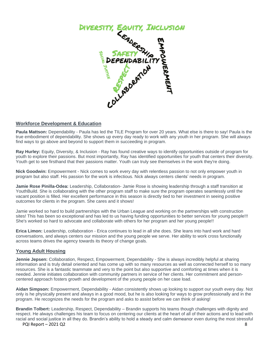

### **Workforce Development & Education**

**Paula Mattson:** Dependability - Paula has led the TILE Program for over 20 years. What else is there to say! Paula is the true embodiment of dependability. She shows up every day ready to work with any youth in her program. She will always find ways to go above and beyond to support them in succeeding in program.

**Ray Hurley:** Equity, Diversity, & Inclusion - Ray has found creative ways to identify opportunities outside of program for youth to explore their passions. But most importantly, Ray has identified opportunities for youth that centers their diversity. Youth get to see firsthand that their passions matter. Youth can truly see themselves in the work they're doing.

**Nick Goodwin:** Empowerment - Nick comes to work every day with relentless passion to not only empower youth in program but also staff. His passion for the work is infectious. Nick always centers clients' needs in program.

**Jamie Rose Pinilla-Odea:** Leadership, Collaboration- Jamie Rose is showing leadership through a staff transition at YouthBuild. She is collaborating with the other program staff to make sure the program operates seamlessly until the vacant position is filled. Her excellent performance in this season is directly tied to her investment in seeing positive outcomes for clients in the program. She cares and it shows!

Jamie worked so hard to build partnerships with the Urban League and working on the partnerships with construction sites! This has been so exceptional and has led to us having funding opportunities to better services for young people!!! She's worked so hard to advocate and collaborate with others for her program and her young people!!

**Erica Limon:** Leadership, collaboration - Erica continues to lead in all she does. She leans into hard work and hard conversations, and always centers our mission and the young people we serve. Her ability to work cross functionally across teams drives the agency towards its theory of change goals.

#### **Young Adult Housing**

**Jennie Jepsen:** Collaboration, Respect, Empowerment, Dependability - She is always incredibly helpful at sharing information and is truly detail oriented and has come up with so many resources as well as connected herself to so many resources. She is a fantastic teammate and very to the point but also supportive and comforting at times when it is needed. Jennie initiates collaboration with community partners in service of her clients. Her commitment and personcentered approach fosters growth and development of the young people on her case load.

**Aidan Simpson:** Empowerment, Dependability - Aidan consistently shows up looking to support our youth every day. Not only is he physically present and always in a good mood, but he is also looking for ways to grow professionally and in the program. He recognizes the needs for the program and asks to assist before we can think of asking!

PQI Report – 2021 Q2 8 **Brandin Tolbert:** Leadership, Respect, Dependability – Brandin supports his teams though challenges with dignity and respect. He always challenges his team to focus on centering our clients at the heart of all of their actions and to lead with racial and social justice in all they do. Brandin's ability to hold a steady and calm demeanor even during the most stressful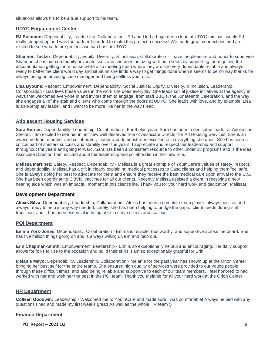situations allows his to be a true support to his team.

#### **UDYC Engagement Center**

**RJ Solomon:** Dependability, Leadership, Collaboration - RJ and I led a huge deep clean at UDYC this past week! RJ really stepped up and was the partner I needed to make this project a success! We made great connections and are excited to see what future projects we can host at UDYC.

**Shannon Tucker:** Dependability, Equity, Diversity, & Inclusion, Collaboration - I have the pleasure and honor to supervise Shannon she is our community advocate csec and she does amazing with our clients by supporting them getting the documentation getting them house while also meeting them where they are she very dependable reliable and always ready to better the client world day and situation she finds a way to get things done when it seems to be no way thanks for always being an amazing case manager and being selfless you rock.

**Lisa Byoune**: Respect, Empowerment, Dependability, Social Justice, Equity, Diversity, & Inclusion, Leadership, Collaboration - Lisa lives these values in the work she does everyday. She leads social justice initiatives at the agency in ways that welcomes everyone in and invites them to engage, from staff BBQ's, the Juneteenth Celebration, and the way she engages all of the staff and clients who come through the doors at UDYC. She leads with love, and by example. Lisa is an exemplary leader, and I want to be more like her in the way I lead.

#### **Adolescent Housing Services**

**Sara Berner:** Dependability, Leadership, Collaboration - For 9 plus years Sara has been a dedicated leader at Adolescent Shelter. I am excited to see her in her new well deserved role of Associate Director for Ad Housing Services. She is an awesome team member and collaborator, leader and demonstrates excellence in everything she does. She has been a critical part of shelters success and stability over the years. I appreciate and respect her leadership and support throughout the years and going forward. Sara has been a consistent resource to other under 18 programs and is the ideal Associate Director. I am excited about her leadership and collaboration in her new role.

**Melissa Martinez:** Safety, Respect, Dependability - Melissa is a great example of YouthCare's values of safety, respect, and dependability! Melissa has a gift in clearly explaining medical processes to Casa clients and helping them feel safe. She is always doing her best to advocate for them and ensure they receive the best medical care upon arrival to the U.S. She has been coordinating COVID vaccines for all our clients. Recently Melissa assisted a client in receiving a new hearing aide which was an impactful moment in this client's life. Thank you for your hard work and dedication, Melissa!

#### **Development Department**

**Alexis Silva:** Dependability, Leadership, Collaboration - Alexis has been a complete team player, always positive and always ready to help in any way needed. Lately, she has been helping to bridge the gap of client needs during staff transition, and it has been essential in being able to serve clients and staff well.

#### **PQI Department**

**Emma York-Jones:** Dependability, Collaboration - Emma is reliable, trustworthy, and supportive across the board. She has five million things going on and is always willing dive in and help out.

**Erin Chapman-Smith:** Empowerment, Leadership - Erin is so exceptionally helpful and encouraging. Her daily support allows for folks to rise to the occasion and build their skills. I am so exceptionally grateful for Erin.

**Melanie Mayo:** Dependability, Leadership, Collaboration - Melanie for the past year has shown up at the Orion Center bringing her best self for the entire teams. She ensured high quality of services were provided to our young people through these difficult times, and also being reliable and supportive to each of our team members. I feel honored to had worked with her and wish her the best in the PQI team! Thank you Melanie for all your hard work at the Orion Center!

#### **HR Department**

**Colleen Goodwin:** Leadership - Welcomed me to YouthCare and made sure I was comfortable! Always helped with any questions I had and made my first weeks great! As well as the whole HR team :)

#### **Finance Department**

PQI Report – 2021 Q2 9